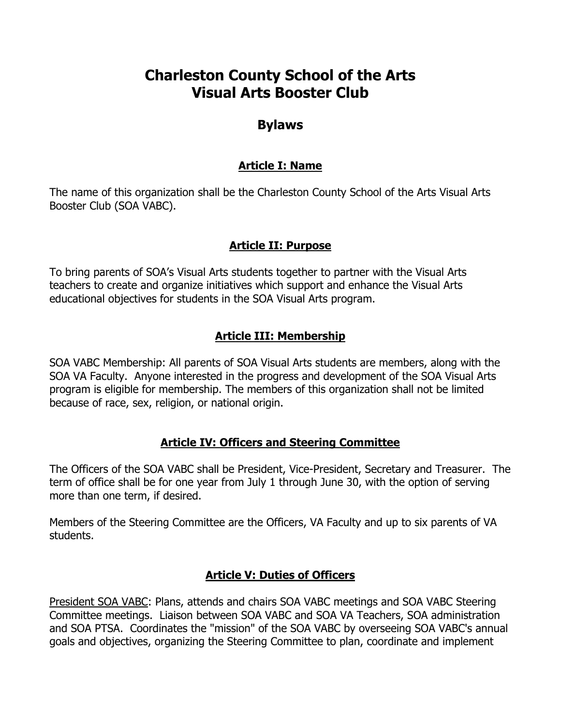# **Charleston County School of the Arts Visual Arts Booster Club**

# **Bylaws**

## **Article I: Name**

The name of this organization shall be the Charleston County School of the Arts Visual Arts Booster Club (SOA VABC).

# **Article II: Purpose**

To bring parents of SOA's Visual Arts students together to partner with the Visual Arts teachers to create and organize initiatives which support and enhance the Visual Arts educational objectives for students in the SOA Visual Arts program.

## **Article III: Membership**

SOA VABC Membership: All parents of SOA Visual Arts students are members, along with the SOA VA Faculty. Anyone interested in the progress and development of the SOA Visual Arts program is eligible for membership. The members of this organization shall not be limited because of race, sex, religion, or national origin.

#### **Article IV: Officers and Steering Committee**

The Officers of the SOA VABC shall be President, Vice-President, Secretary and Treasurer. The term of office shall be for one year from July 1 through June 30, with the option of serving more than one term, if desired.

Members of the Steering Committee are the Officers, VA Faculty and up to six parents of VA students.

#### **Article V: Duties of Officers**

President SOA VABC: Plans, attends and chairs SOA VABC meetings and SOA VABC Steering Committee meetings. Liaison between SOA VABC and SOA VA Teachers, SOA administration and SOA PTSA. Coordinates the "mission" of the SOA VABC by overseeing SOA VABC's annual goals and objectives, organizing the Steering Committee to plan, coordinate and implement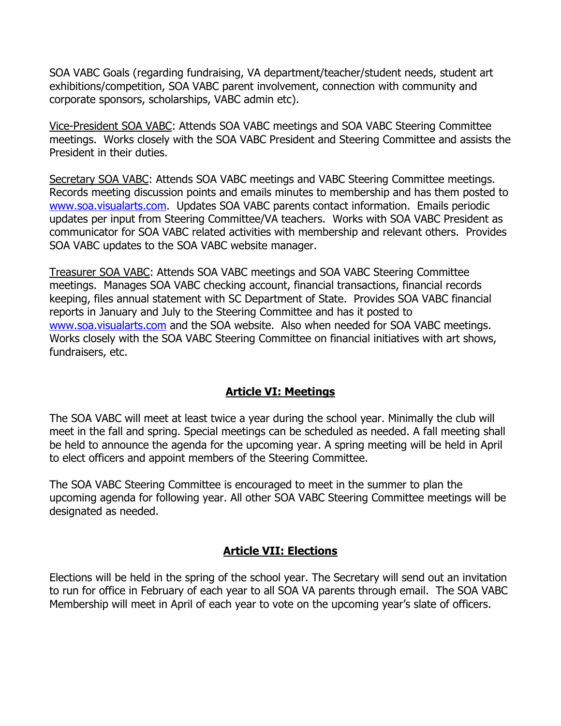SOA VABC Goals (regarding fundraising, VA department/teacher/student needs, student art exhibitions/competition, SOA VABC parent involvement, connection with community and corporate sponsors, scholarships, VABC admin etc).

Vice-President SOA VABC: Attends SOA VABC meetings and SOA VABC Steering Committee meetings. Works closely with the SOA VABC President and Steering Committee and assists the President in their duties.

Secretary SOA VABC: Attends SOA VABC meetings and VABC Steering Committee meetings. Records meeting discussion points and emails minutes to membership and has them posted to www.soa.visualarts.com. Updates SOA VABC parents contact information. Emails periodic updates per input from Steering Committee/VA teachers. Works with SOA VABC President as communicator for SOA VABC related activities with membership and relevant others. Provides SOA VABC updates to the SOA VABC website manager.

Treasurer SOA VABC: Attends SOA VABC meetings and SOA VABC Steering Committee meetings. Manages SOA VABC checking account, financial transactions, financial records keeping, files annual statement with SC Department of State. Provides SOA VABC financial reports in January and July to the Steering Committee and has it posted to www.soa.visualarts.com and the SOA website. Also when needed for SOA VABC meetings. Works closely with the SOA VABC Steering Committee on financial initiatives with art shows, fundraisers, etc.

# **Article VI: Meetings**

The SOA VABC will meet at least twice a year during the school year. Minimally the club will meet in the fall and spring. Special meetings can be scheduled as needed. A fall meeting shall be held to announce the agenda for the upcoming year. A spring meeting will be held in April to elect officers and appoint members of the Steering Committee.

The SOA VABC Steering Committee is encouraged to meet in the summer to plan the upcoming agenda for following year. All other SOA VABC Steering Committee meetings will be designated as needed.

# **Article VII: Elections**

Elections will be held in the spring of the school year. The Secretary will send out an invitation to run for office in February of each year to all SOA VA parents through email. The SOA VABC Membership will meet in April of each year to vote on the upcoming year's slate of officers.